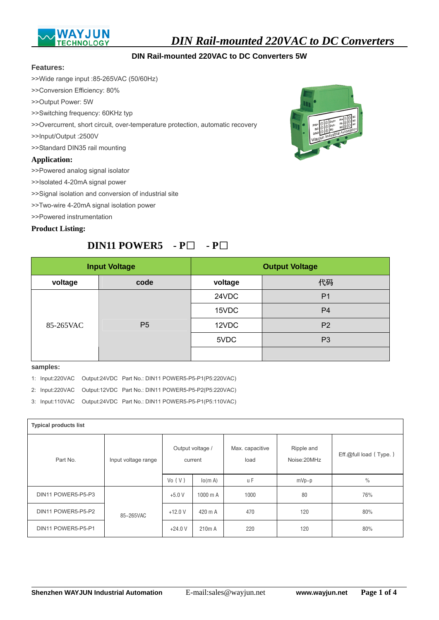

*DIN Rail-mounted 220VAC to DC Converters* 

## **DIN Rail-mounted 220VAC to DC Converters 5W**

#### **Features:**

>>Wide range input :85-265VAC (50/60Hz)

- >>Conversion Efficiency: 80%
- >>Output Power: 5W
- >>Switching frequency: 60KHz typ
- >>Overcurrent, short circuit, over-temperature protection, automatic recovery
- >>Input/Output :2500V
- >>Standard DIN35 rail mounting

### **Application:**

>>Powered analog signal isolator

>>Isolated 4-20mA signal power

>>Signal isolation and conversion of industrial site

- >>Two-wire 4-20mA signal isolation power
- >>Powered instrumentation

#### **Product Listing:**

# **DIN11 POWER5 - P**□ **- P**□



| <b>Input Voltage</b> |                | <b>Output Voltage</b> |                |  |
|----------------------|----------------|-----------------------|----------------|--|
| voltage              | code           | voltage               | 代码             |  |
| 85-265VAC            | P <sub>5</sub> | 24VDC                 | P <sub>1</sub> |  |
|                      |                | 15VDC                 | P <sub>4</sub> |  |
|                      |                | 12VDC                 | P <sub>2</sub> |  |
|                      |                | 5VDC                  | P <sub>3</sub> |  |
|                      |                |                       |                |  |

#### **samples:**

 $\overline{a}$ 

1: Input:220VAC Output:24VDC Part No.: DIN11 POWER5-P5-P1(P5:220VAC)

2: Input:220VAC Output:12VDC Part No.: DIN11 POWER5-P5-P2(P5:220VAC)

3: Input:110VAC Output:24VDC Part No.: DIN11 POWER5-P5-P1(P5:110VAC)

| <b>Typical products list</b>    |           |                             |                    |                         |                           |                        |  |
|---------------------------------|-----------|-----------------------------|--------------------|-------------------------|---------------------------|------------------------|--|
| Part No.<br>Input voltage range |           | Output voltage /<br>current |                    | Max. capacitive<br>load | Ripple and<br>Noise:20MHz | Eff.@full load (Type.) |  |
|                                 |           | Vo(V)                       | lo(m A)            | u F                     | $mVp-p$                   | $\frac{0}{0}$          |  |
| DIN11 POWER5-P5-P3              |           | $+5.0V$                     | $1000$ m A         | 1000                    | 80                        | 76%                    |  |
| DIN11 POWER5-P5-P2              | 85~265VAC | $+12.0V$                    | 420 m A            | 470                     | 120                       | 80%                    |  |
| DIN11 POWER5-P5-P1              |           | $+24.0V$                    | 210 <sub>m</sub> A | 220                     | 120                       | 80%                    |  |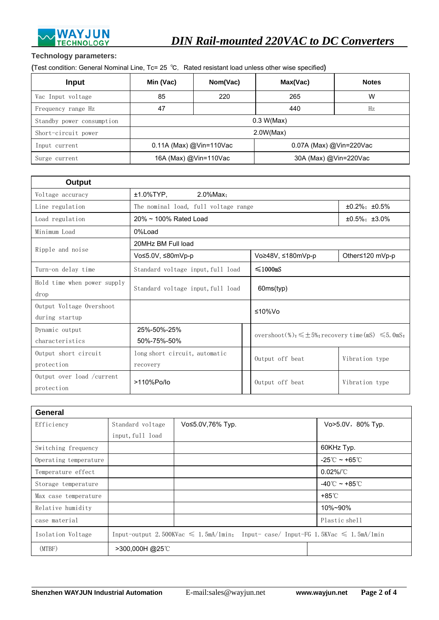

## **Technology parameters:**

(Test condition: General Nominal Line, Tc= 25 ℃, Rated resistant load unless other wise specified)

| Input                     | Min (Vac)               | Nom(Vac) | Max(Vac)                | <b>Notes</b> |  |
|---------------------------|-------------------------|----------|-------------------------|--------------|--|
| Vac Input voltage         | 85                      | 220      | 265                     | W            |  |
| Frequency range Hz        | 47                      |          | 440                     | Hz           |  |
| Standby power consumption | 0.3 W(Max)              |          |                         |              |  |
| Short-circuit power       | 2.0W(Max)               |          |                         |              |  |
| Input current             | 0.11A (Max) @Vin=110Vac |          | 0.07A (Max) @Vin=220Vac |              |  |
| Surge current             | 16A (Max) @Vin=110Vac   |          | 30A (Max) @Vin=220Vac   |              |  |

| Output                      |                                                             |                                                                  |                  |  |
|-----------------------------|-------------------------------------------------------------|------------------------------------------------------------------|------------------|--|
| Voltage accuracy            | ±1.0%TYP,<br>2.0%Max;                                       |                                                                  |                  |  |
| Line regulation             | $±0.2\%$ ; $±0.5\%$<br>The nominal load, full voltage range |                                                                  |                  |  |
| Load regulation             | $20\% \sim 100\%$ Rated Load                                |                                                                  | $±0.5\%: ±3.0\%$ |  |
| Minimum Load                | 0%Load                                                      |                                                                  |                  |  |
| Ripple and noise            | 20MHz BM Full load                                          |                                                                  |                  |  |
|                             | Vo≤5.0V, ≤80mVp-p                                           | Vo≥48V, ≤180mVp-p                                                | Other≤120 mVp-p  |  |
| Turn-on delay time          | Standard voltage input, full load                           | $\leq 1000$ mS                                                   |                  |  |
| Hold time when power supply |                                                             |                                                                  |                  |  |
| drop                        | Standard voltage input, full load<br>60ms(typ)              |                                                                  |                  |  |
| Output Voltage Overshoot    | ≤10%Vo                                                      |                                                                  |                  |  |
| during startup              |                                                             |                                                                  |                  |  |
| Dynamic output              | 25%-50%-25%                                                 | overshoot(%): $\leq \pm 5$ %; recovery time (mS) $\leq 5$ . OmS: |                  |  |
| characteristics             | 50%-75%-50%                                                 |                                                                  |                  |  |
| Output short circuit        | long short circuit, automatic                               | Output off beat                                                  | Vibration type   |  |
| protection                  | recovery                                                    |                                                                  |                  |  |
| Output over load / current  | >110%Po/lo                                                  | Output off beat                                                  | Vibration type   |  |
| protection                  |                                                             |                                                                  |                  |  |

| General               |                                                                                           |                  |                                     |  |  |
|-----------------------|-------------------------------------------------------------------------------------------|------------------|-------------------------------------|--|--|
| Efficiency            | Standard voltage                                                                          | Vo≤5.0V,76% Typ. | Vo>5.0V, 80% Typ.                   |  |  |
|                       | input, full load                                                                          |                  |                                     |  |  |
| Switching frequency   |                                                                                           |                  | 60KHz Typ.                          |  |  |
| Operating temperature |                                                                                           |                  | -25 $\mathbb{C}$ ~ +65 $\mathbb{C}$ |  |  |
| Temperature effect    |                                                                                           |                  | $0.02\%$ /°C                        |  |  |
| Storage temperature   |                                                                                           |                  | -40 $\degree$ ~ +85 $\degree$ C     |  |  |
| Max case temperature  |                                                                                           |                  | +85℃                                |  |  |
| Relative humidity     |                                                                                           |                  | 10%~90%                             |  |  |
| case material         |                                                                                           |                  | Plastic shell                       |  |  |
| Isolation Voltage     | Input-output 2.500KVac $\leq 1.5$ mA/1min; Input-case/Input-FG 1.5KVac $\leq 1.5$ mA/1min |                  |                                     |  |  |
| (MTBF)                | >300,000H@25°C                                                                            |                  |                                     |  |  |

 $\overline{a}$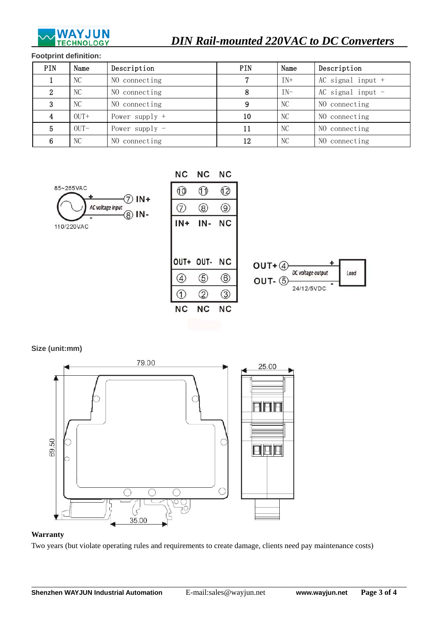

## **Footprint definition:**

| PIN | Name           | Description      | PIN | Name  | Description         |
|-----|----------------|------------------|-----|-------|---------------------|
|     | NC             | NO connecting    | 7   | $IN+$ | AC signal input $+$ |
| 2   | N <sub>C</sub> | NO connecting    | 8   | $IN-$ | AC signal input $-$ |
| 3   | N <sub>C</sub> | NO connecting    | 9   | NC    | NO connecting       |
| 4   | $OU +$         | Power supply $+$ | 10  | NС    | NO connecting       |
| 5   | $OUT-$         | Power supply $-$ | 11  | NC    | NO connecting       |
|     | N <sub>C</sub> | NO connecting    | 12  | NC    | NO connecting       |





**Size (unit:mm)** 



## **Warranty**

 $\overline{a}$ 

Two years (but violate operating rules and requirements to create damage, clients need pay maintenance costs)